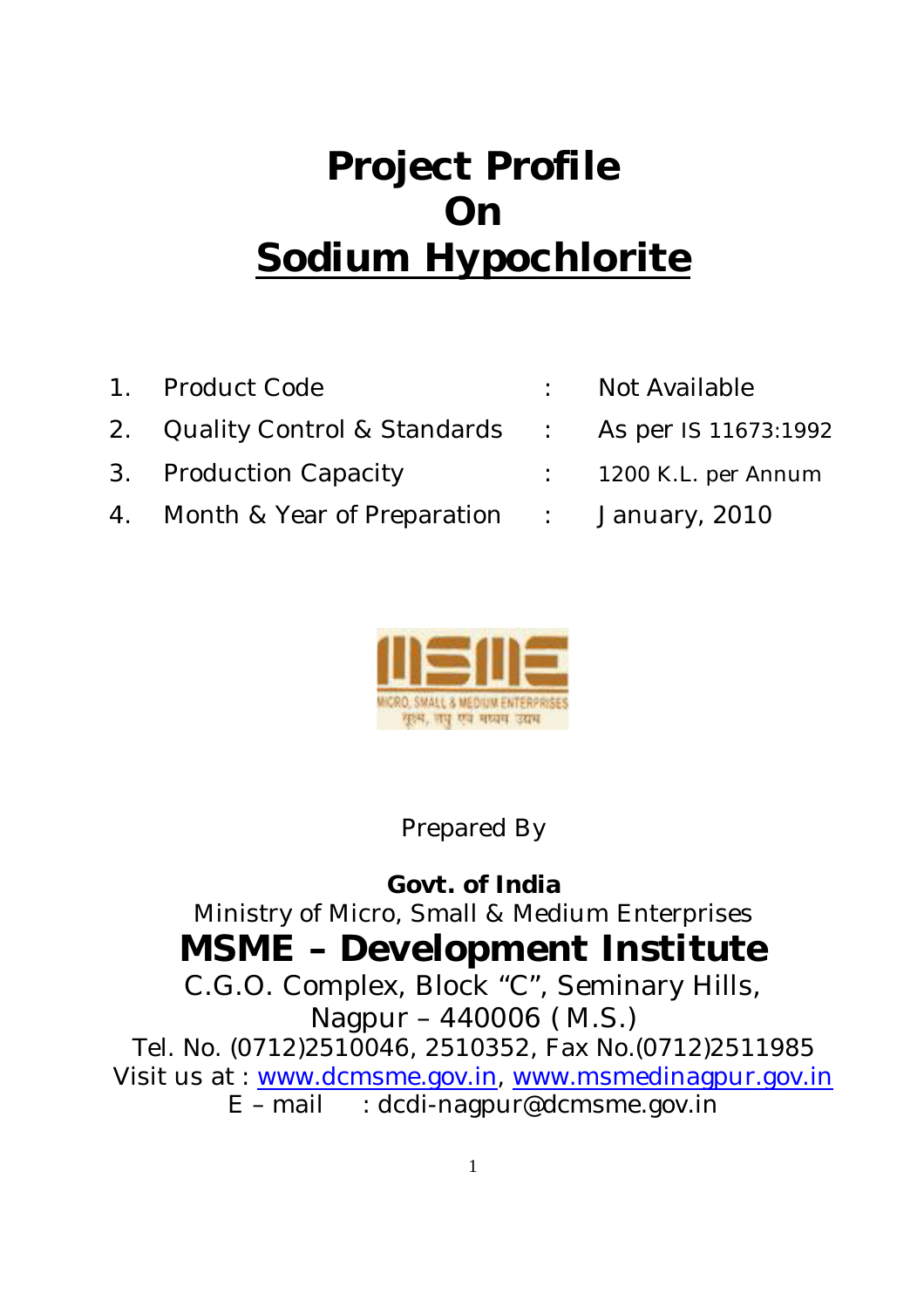## **Project Profile On Sodium Hypochlorite**

1. Product Code : Not Available 2. Quality Control & Standards : As per IS 11673:1992 3. Production Capacity ... . . . . . . . . . 1200 K.L. per Annum 4. Month & Year of Preparation : January, 2010



Prepared By

**Govt. of India** Ministry of Micro, Small & Medium Enterprises **MSME – Development Institute** C.G.O. Complex, Block "C", Seminary Hills, Nagpur – 440006 ( M.S.)

Tel. No. (0712)2510046, 2510352, Fax No.(0712)2511985 Visit us at : www.dcmsme.gov.in, www.msmedinagpur.gov.in  $E$  – mail : dcdi-nagpur@dcmsme.gov.in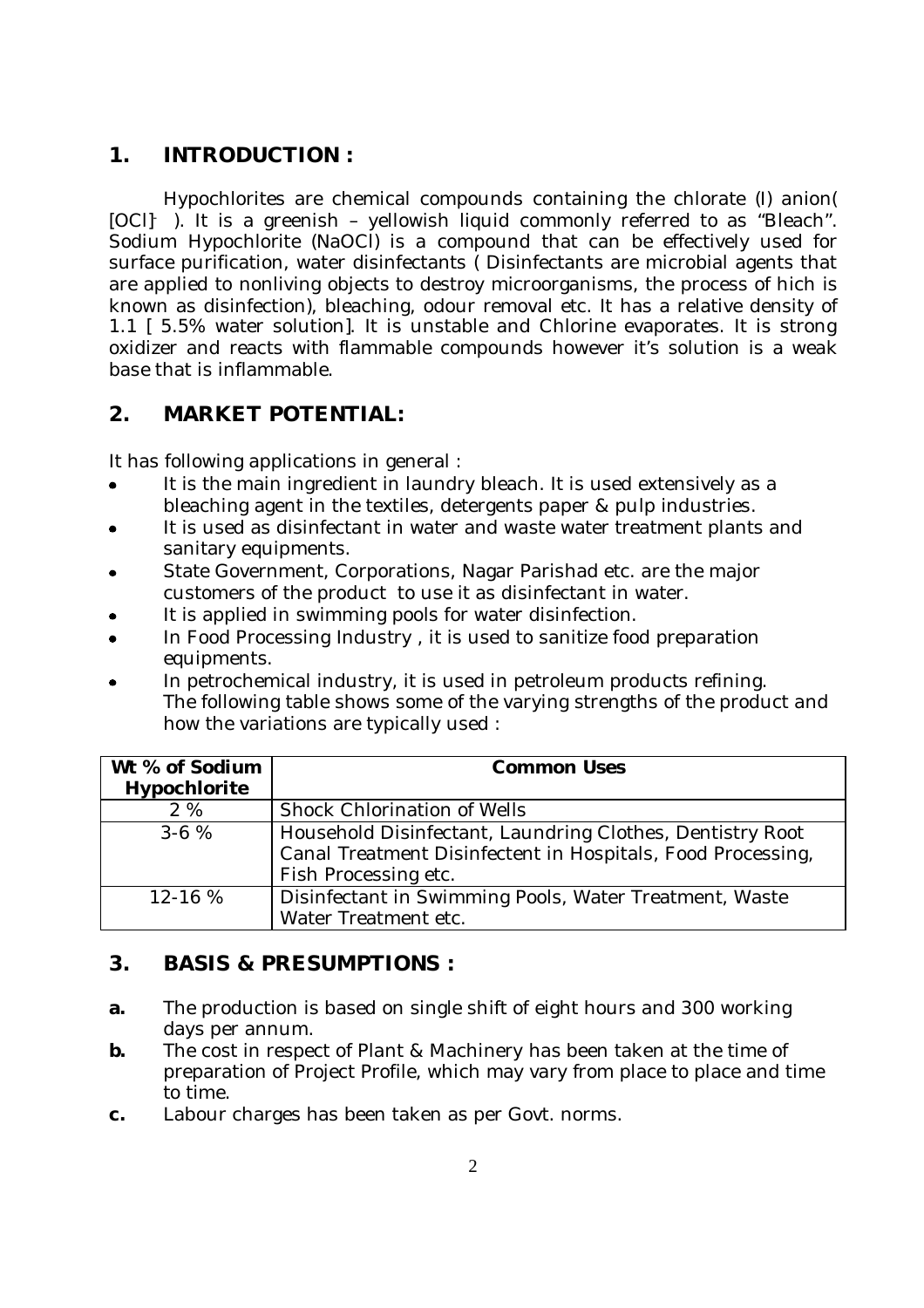## **1. INTRODUCTION :**

Hypochlorites are chemical compounds containing the chlorate (I) anion( [OCI]- ). It is a greenish – yellowish liquid commonly referred to as "Bleach". Sodium Hypochlorite (NaOCl) is a compound that can be effectively used for surface purification, water disinfectants ( Disinfectants are microbial agents that are applied to nonliving objects to destroy microorganisms, the process of hich is known as disinfection), bleaching, odour removal etc. It has a relative density of 1.1 [ 5.5% water solution]. It is unstable and Chlorine evaporates. It is strong oxidizer and reacts with flammable compounds however it's solution is a weak base that is inflammable.

## **2. MARKET POTENTIAL:**

It has following applications in general :

- It is the main ingredient in laundry bleach. It is used extensively as a bleaching agent in the textiles, detergents paper & pulp industries.
- It is used as disinfectant in water and waste water treatment plants and sanitary equipments.
- State Government, Corporations, Nagar Parishad etc. are the major customers of the product to use it as disinfectant in water.
- It is applied in swimming pools for water disinfection.
- In Food Processing Industry , it is used to sanitize food preparation equipments.
- In petrochemical industry, it is used in petroleum products refining. The following table shows some of the varying strengths of the product and how the variations are typically used :

| Wt % of Sodium<br>Hypochlorite | <b>Common Uses</b>                                                                                                                               |
|--------------------------------|--------------------------------------------------------------------------------------------------------------------------------------------------|
| 2%                             | Shock Chlorination of Wells                                                                                                                      |
| $3-6%$                         | Household Disinfectant, Laundring Clothes, Dentistry Root<br>Canal Treatment Disinfectent in Hospitals, Food Processing,<br>Fish Processing etc. |
| $12 - 16%$                     | Disinfectant in Swimming Pools, Water Treatment, Waste<br>Water Treatment etc.                                                                   |

## **3. BASIS & PRESUMPTIONS :**

- **a.** The production is based on single shift of eight hours and 300 working days per annum.
- **b.** The cost in respect of Plant & Machinery has been taken at the time of preparation of Project Profile, which may vary from place to place and time to time.
- **c.** Labour charges has been taken as per Govt. norms.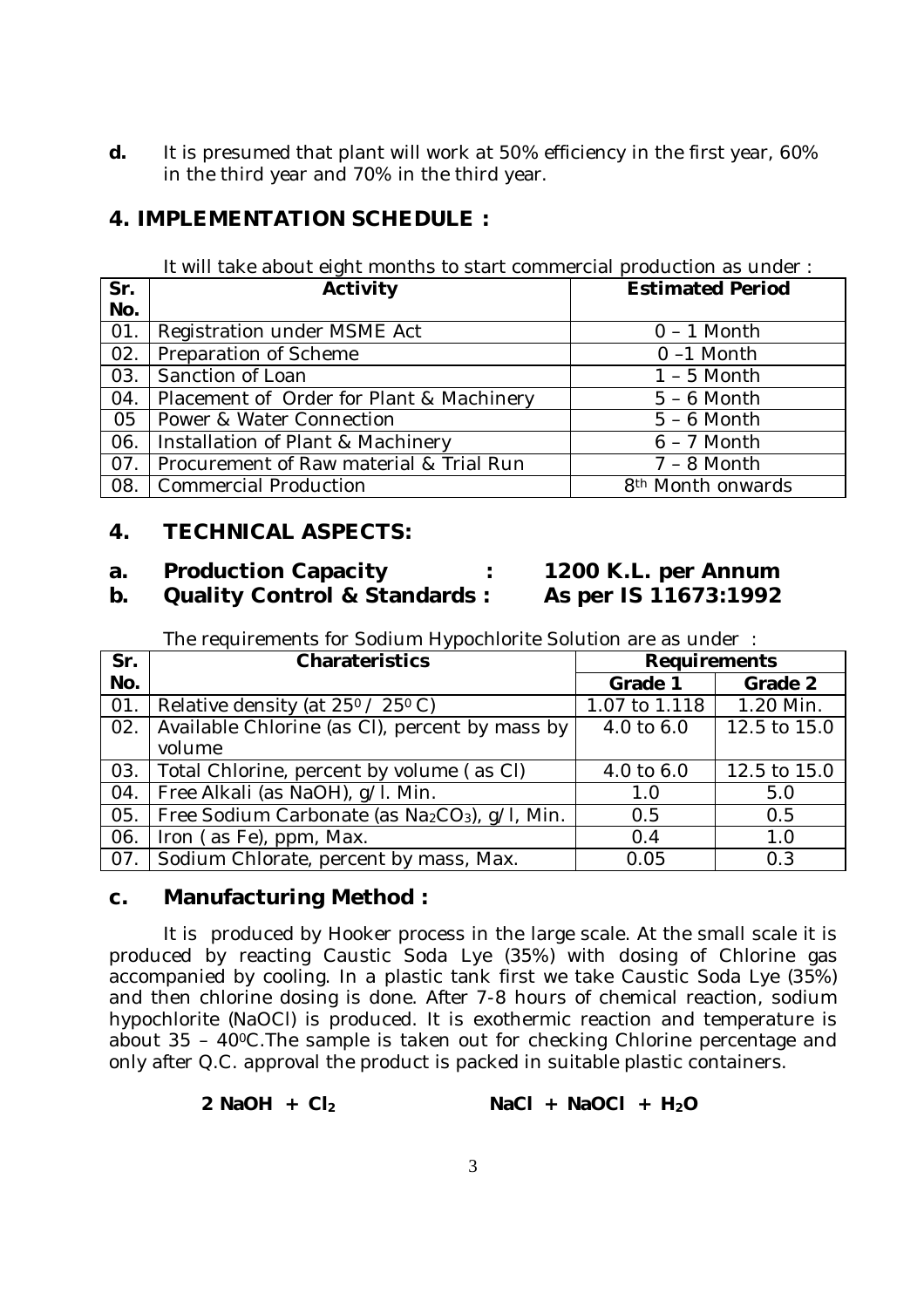**d.** It is presumed that plant will work at 50% efficiency in the first year, 60% in the third year and 70% in the third year.

### **4. IMPLEMENTATION SCHEDULE :**

| It will take about eight months to start commercial production as under: |  |  |  |
|--------------------------------------------------------------------------|--|--|--|

| Sr. | Activity                                 | <b>Estimated Period</b>       |
|-----|------------------------------------------|-------------------------------|
| No. |                                          |                               |
| 01. | Registration under MSME Act              | $0 - 1$ Month                 |
| 02. | Preparation of Scheme                    | $0 - 1$ Month                 |
| 03. | Sanction of Loan                         | $1 - 5$ Month                 |
| 04. | Placement of Order for Plant & Machinery | $5 - 6$ Month                 |
| 05  | Power & Water Connection                 | $5 - 6$ Month                 |
| 06. | Installation of Plant & Machinery        | $6 - 7$ Month                 |
| 07. | Procurement of Raw material & Trial Run  | $7 - 8$ Month                 |
| 08. | Commercial Production                    | 8 <sup>th</sup> Month onwards |

## **4. TECHNICAL ASPECTS:**

## **a. Production Capacity : 1200 K.L. per Annum**

# **b. Quality Control & Standards : As per IS 11673:1992**

The requirements for Sodium Hypochlorite Solution are as under :

| Sr. | Charateristics                                                         | <b>Requirements</b> |              |
|-----|------------------------------------------------------------------------|---------------------|--------------|
| No. |                                                                        | Grade 1             | Grade 2      |
| 01. | Relative density (at 25 <sup>0</sup> / 25 <sup>0</sup> C)              | 1.07 to 1.118       | 1.20 Min.    |
| 02. | Available Chlorine (as CI), percent by mass by                         | 4.0 to 6.0          | 12.5 to 15.0 |
|     | volume                                                                 |                     |              |
|     | 03.   Total Chlorine, percent by volume (as CI)                        | 4.0 to 6.0          | 12.5 to 15.0 |
| 04. | Free Alkali (as NaOH), q/l. Min.                                       | 1.0                 | 5.0          |
| 05. | Free Sodium Carbonate (as Na <sub>2</sub> CO <sub>3</sub> ), q/l, Min. | 0.5                 | 0.5          |
| 06. | Iron (as Fe), ppm, Max.                                                | 0.4                 | 1.0          |
| 07. | Sodium Chlorate, percent by mass, Max.                                 | 0.05                | 0.3          |

#### **c. Manufacturing Method :**

It is produced by Hooker process in the large scale. At the small scale it is produced by reacting Caustic Soda Lye (35%) with dosing of Chlorine gas accompanied by cooling. In a plastic tank first we take Caustic Soda Lye (35%) and then chlorine dosing is done. After 7-8 hours of chemical reaction, sodium hypochlorite (NaOCl) is produced. It is exothermic reaction and temperature is about 35 – 400C.The sample is taken out for checking Chlorine percentage and only after Q.C. approval the product is packed in suitable plastic containers.

| 2 NaOH + $Cl2$ |  | $NaCl + NaOCl + H2O$ |  |  |
|----------------|--|----------------------|--|--|
|----------------|--|----------------------|--|--|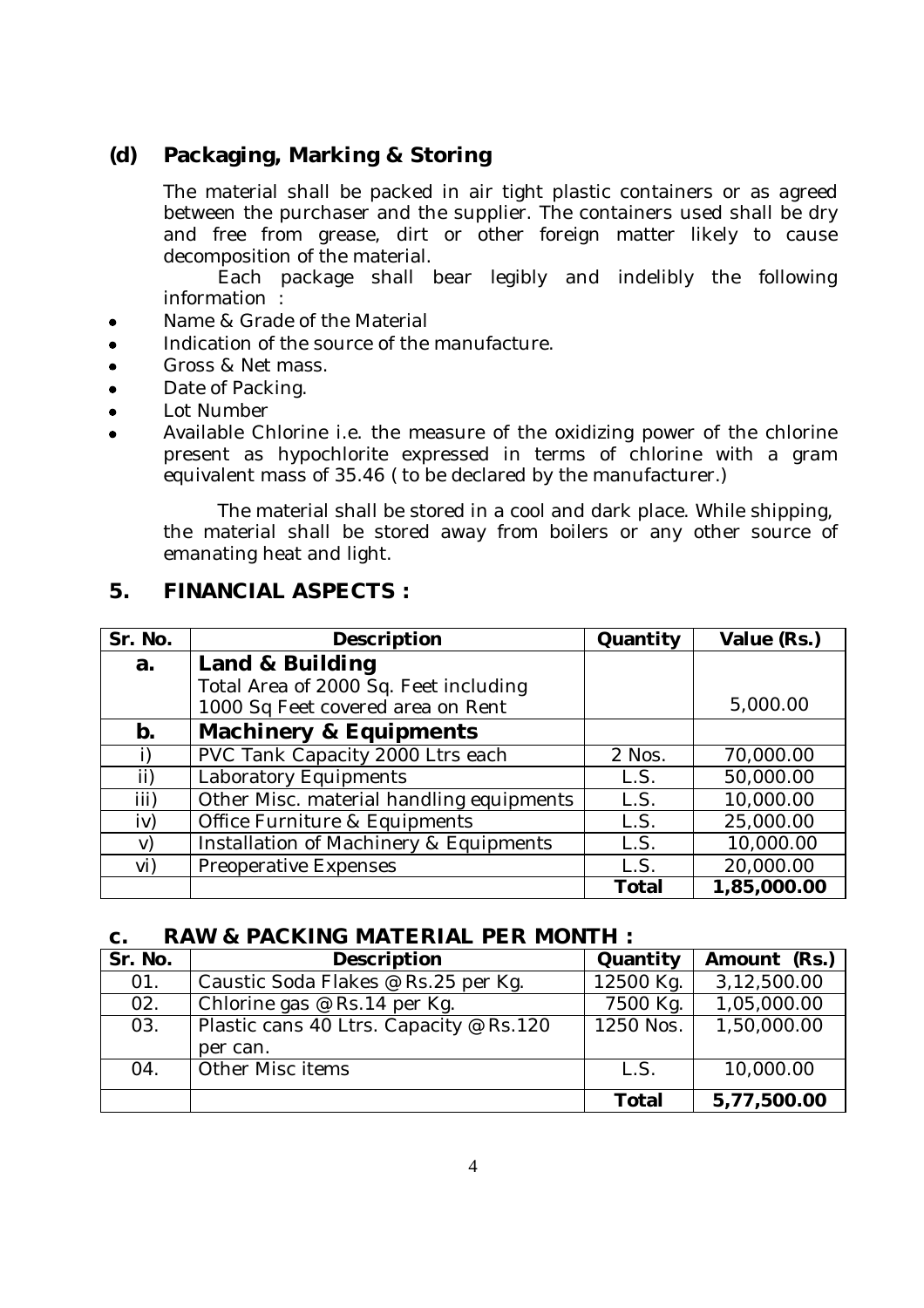## **(d) Packaging, Marking & Storing**

The material shall be packed in air tight plastic containers or as agreed between the purchaser and the supplier. The containers used shall be dry and free from grease, dirt or other foreign matter likely to cause decomposition of the material.

Each package shall bear legibly and indelibly the following information :

- Name & Grade of the Material
- Indication of the source of the manufacture.  $\bullet$
- Gross & Net mass.  $\bullet$
- Date of Packing.  $\bullet$
- Lot Number  $\bullet$

 $\bullet$ 

Available Chlorine i.e. the measure of the oxidizing power of the chlorine present as hypochlorite expressed in terms of chlorine with a gram equivalent mass of 35.46 ( to be declared by the manufacturer.)

The material shall be stored in a cool and dark place. While shipping, the material shall be stored away from boilers or any other source of emanating heat and light.

#### **5. FINANCIAL ASPECTS :**

| Sr. No. | Description                                                                | Quantity | Value (Rs.) |
|---------|----------------------------------------------------------------------------|----------|-------------|
| a.      | Land & Building                                                            |          |             |
|         | Total Area of 2000 Sq. Feet including<br>1000 Sq Feet covered area on Rent |          | 5,000.00    |
| b.      | <b>Machinery &amp; Equipments</b>                                          |          |             |
|         | PVC Tank Capacity 2000 Ltrs each                                           | 2 Nos.   | 70,000.00   |
| ii)     | Laboratory Equipments                                                      | L.S.     | 50,000.00   |
| iii)    | Other Misc. material handling equipments                                   | L.S.     | 10,000.00   |
| iv)     | Office Furniture & Equipments                                              | L.S.     | 25,000.00   |
| V)      | Installation of Machinery & Equipments                                     | L.S.     | 10,000.00   |
| vi)     | Preoperative Expenses                                                      | L.S.     | 20,000.00   |
|         |                                                                            | Total    | 1,85,000.00 |

#### **c. RAW & PACKING MATERIAL PER MONTH :**

| Sr. No. | Description                             | Quantity     | Amount (Rs.) |
|---------|-----------------------------------------|--------------|--------------|
| 01.     | Caustic Soda Flakes @ Rs.25 per Kg.     | 12500 Kg.    | 3,12,500.00  |
| 02.     | Chlorine gas @ Rs.14 per Kg.            | 7500 Kg.     | 1,05,000.00  |
| 03.     | Plastic cans 40 Ltrs. Capacity @ Rs.120 | 1250 Nos.    | 1,50,000.00  |
|         | per can.                                |              |              |
| 04.     | Other Misc items                        | L.S.         | 10,000.00    |
|         |                                         | <b>Total</b> | 5,77,500.00  |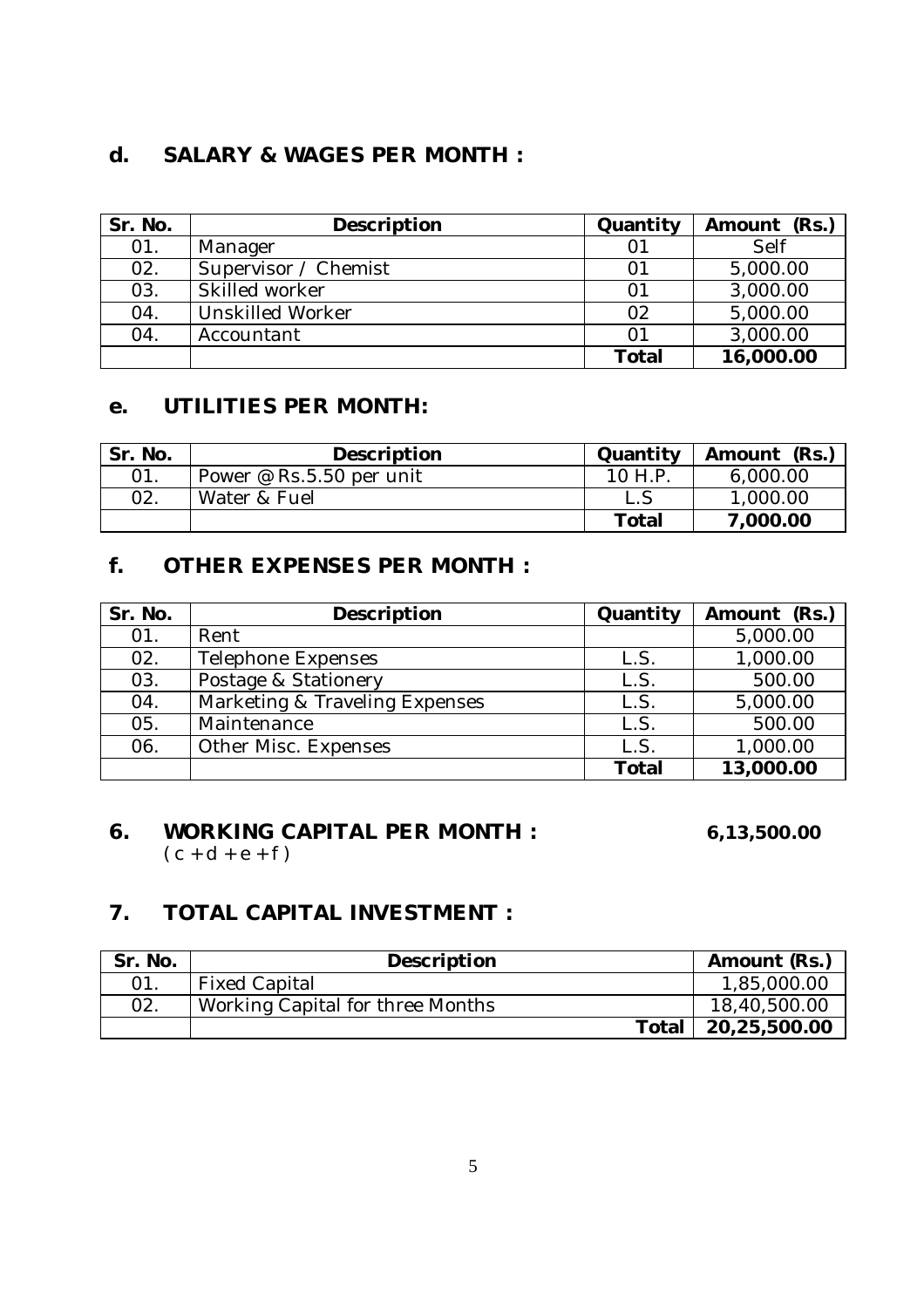## **d. SALARY & WAGES PER MONTH :**

| Sr. No. | <b>Description</b>      | Quantity     | Amount (Rs.) |
|---------|-------------------------|--------------|--------------|
| 01.     | Manager                 | 01           | Self         |
| 02.     | Supervisor / Chemist    | 01           | 5,000.00     |
| 03.     | Skilled worker          | 01           | 3,000.00     |
| 04.     | <b>Unskilled Worker</b> | 02           | 5,000.00     |
| 04.     | Accountant              | 01           | 3,000.00     |
|         |                         | <b>Total</b> | 16,000.00    |

## **e. UTILITIES PER MONTH:**

| Sr. No. | Description              | Quantity     | Amount (Rs.) |
|---------|--------------------------|--------------|--------------|
| 01.     | Power @ Rs.5.50 per unit | 10 H.P       | 6,000.00     |
| 02.     | Water & Fuel             |              | 1,000.00     |
|         |                          | <b>Total</b> | 7,000.00     |

## **f. OTHER EXPENSES PER MONTH :**

| Sr. No. | Description                    | Quantity     | Amount (Rs.) |
|---------|--------------------------------|--------------|--------------|
| 01.     | Rent                           |              | 5,000.00     |
| 02.     | Telephone Expenses             | L.S.         | 1,000.00     |
| 03.     | Postage & Stationery           | L.S.         | 500.00       |
| 04.     | Marketing & Traveling Expenses | L.S.         | 5,000.00     |
| 05.     | Maintenance                    | L.S          | 500.00       |
| 06.     | Other Misc. Expenses           | L.S.         | 1,000.00     |
|         |                                | <b>Total</b> | 13,000.00    |

#### **6. WORKING CAPITAL PER MONTH : 6,13,500.00**  $(c + d + e + f)$

## **7. TOTAL CAPITAL INVESTMENT :**

| Sr. No. | Description                      | Amount (Rs.) |
|---------|----------------------------------|--------------|
|         | <b>Fixed Capital</b>             | 1,85,000.00  |
| 02.     | Working Capital for three Months | 18,40,500.00 |
|         | Total                            | 20,25,500.00 |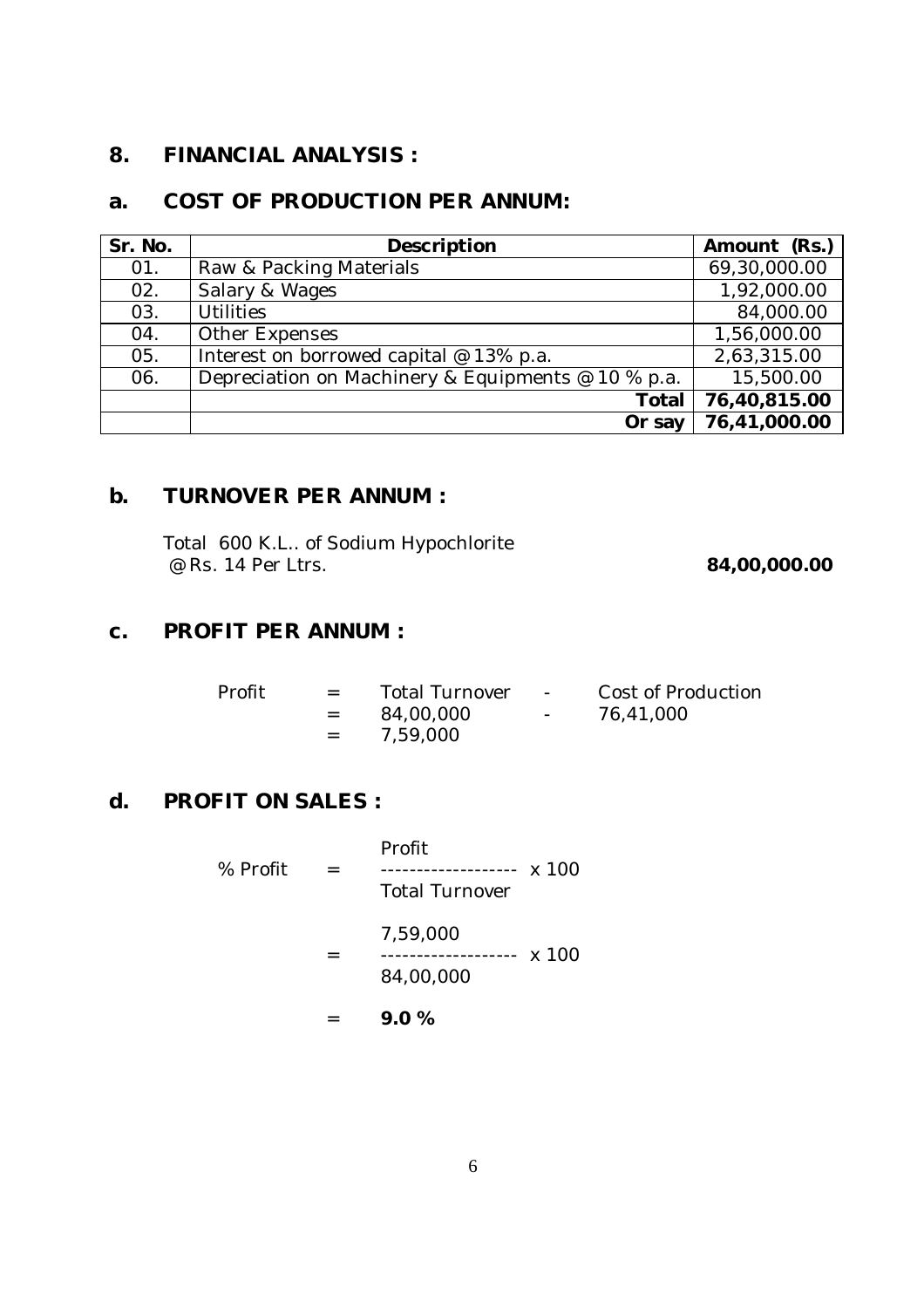## **8. FINANCIAL ANALYSIS :**

## **a. COST OF PRODUCTION PER ANNUM:**

| Sr. No. | Description                                        | Amount (Rs.) |
|---------|----------------------------------------------------|--------------|
| 01.     | Raw & Packing Materials                            | 69,30,000.00 |
| 02.     | Salary & Wages                                     | 1,92,000.00  |
| 03.     | <b>Utilities</b>                                   | 84,000.00    |
| 04.     | Other Expenses                                     | 1,56,000.00  |
| 05.     | Interest on borrowed capital @ 13% p.a.            | 2,63,315.00  |
| 06.     | Depreciation on Machinery & Equipments @ 10 % p.a. | 15,500.00    |
|         | Total                                              | 76,40,815.00 |
|         | Or say                                             | 76,41,000.00 |

## **b. TURNOVER PER ANNUM :**

| Total 600 K.L of Sodium Hypochlorite |              |
|--------------------------------------|--------------|
| $\emptyset$ Rs. 14 Per Ltrs.         | 84,00,000.00 |

## **c. PROFIT PER ANNUM :**

| Profit | $\mathbf{r} = \mathbf{r}$<br>$=$ $-$ | <b>Total Turnover</b><br>84,00,000<br>$= 7.59,000$ | <b>Contract Contract</b><br><b>Contract Contract</b> | Cost of Production<br>76,41,000 |
|--------|--------------------------------------|----------------------------------------------------|------------------------------------------------------|---------------------------------|
|        |                                      |                                                    |                                                      |                                 |

## **d. PROFIT ON SALES :**

|          | 9.0%                                                   |  |
|----------|--------------------------------------------------------|--|
|          | 7,59,000<br>------------------- x 100<br>84,00,000     |  |
| % Profit | Profit<br>------------- x 100<br><b>Total Turnover</b> |  |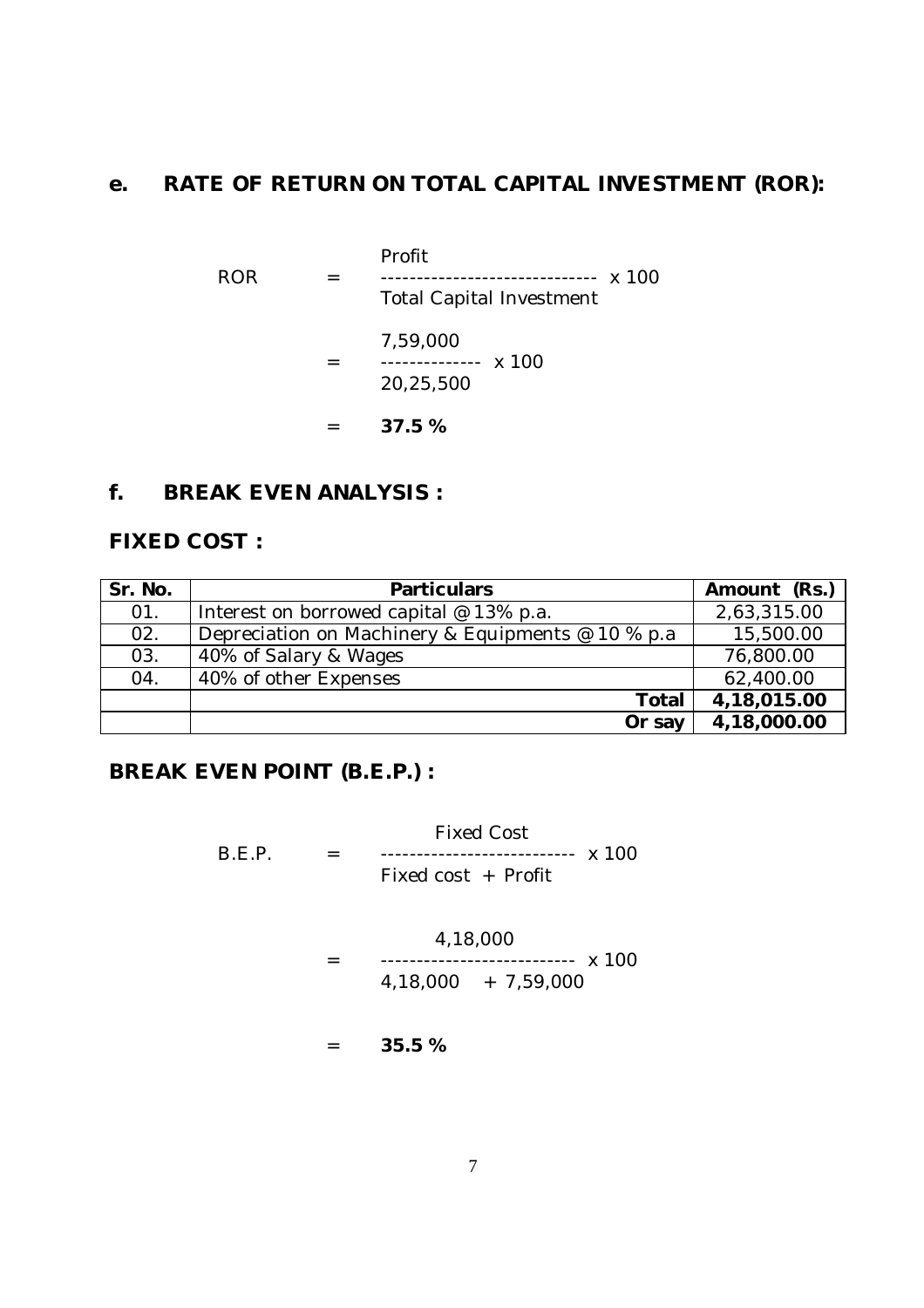## **e. RATE OF RETURN ON TOTAL CAPITAL INVESTMENT (ROR):**

Profit ROR = ------------------------------ x 100 Total Capital Investment 7,59,000 = -------------- x 100 20,25,500 = **37.5 %**

#### **f. BREAK EVEN ANALYSIS :**

#### **FIXED COST :**

| Sr. No. | <b>Particulars</b>                                 | Amount (Rs.) |
|---------|----------------------------------------------------|--------------|
| 01.     | Interest on borrowed capital @ 13% p.a.            | 2,63,315.00  |
| 02.     | Depreciation on Machinery & Equipments @ 10 % p.a. | 15,500.00    |
| 03.     | 40% of Salary & Wages                              | 76,800.00    |
| 04.     | 40% of other Expenses                              | 62,400.00    |
|         | <b>Total</b>                                       | 4,18,015.00  |
|         | Or say                                             | 4,18,000.00  |

## **BREAK EVEN POINT (B.E.P.) :**

Fixed Cost B.E.P. = --------------------------- x 100 Fixed cost + Profit

4,18,000

= --------------------------- x 100 4,18,000 + 7,59,000

= **35.5 %**